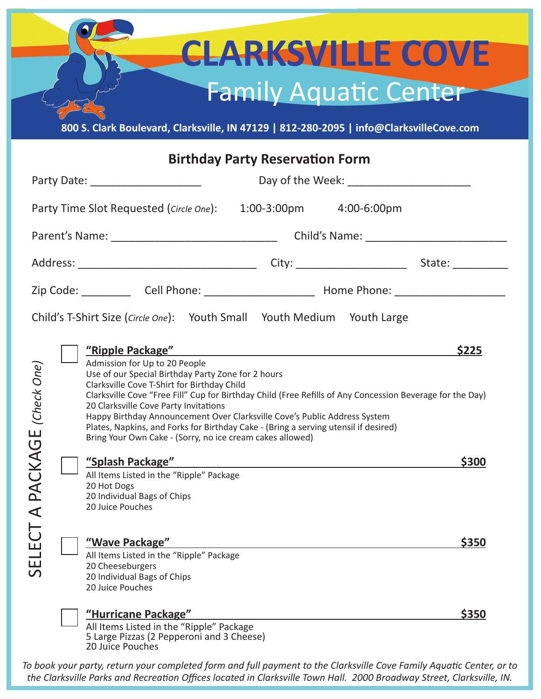## $\bullet$ **CLARKSVILLE COVE** Family Aquatic Center **800 S. Clark Boulevard, Clarksville, IN 47129 | 812-280-2095 | info@ClarksvilleCove.com**

| <b>Birthday Party Reservation Form</b>                                  |                                                                                                                                                                                                                                                                                                                                                                                                                                                                                                                                                                                                                                                                                                                     |                |  |
|-------------------------------------------------------------------------|---------------------------------------------------------------------------------------------------------------------------------------------------------------------------------------------------------------------------------------------------------------------------------------------------------------------------------------------------------------------------------------------------------------------------------------------------------------------------------------------------------------------------------------------------------------------------------------------------------------------------------------------------------------------------------------------------------------------|----------------|--|
|                                                                         | Party Date: ______________________                                                                                                                                                                                                                                                                                                                                                                                                                                                                                                                                                                                                                                                                                  |                |  |
|                                                                         | Party Time Slot Requested ( <i>Circle One</i> ): 1:00-3:00pm 4:00-6:00pm                                                                                                                                                                                                                                                                                                                                                                                                                                                                                                                                                                                                                                            |                |  |
|                                                                         |                                                                                                                                                                                                                                                                                                                                                                                                                                                                                                                                                                                                                                                                                                                     |                |  |
|                                                                         |                                                                                                                                                                                                                                                                                                                                                                                                                                                                                                                                                                                                                                                                                                                     |                |  |
|                                                                         |                                                                                                                                                                                                                                                                                                                                                                                                                                                                                                                                                                                                                                                                                                                     |                |  |
| Child's T-Shirt Size (Circle One): Youth Small Youth Medium Youth Large |                                                                                                                                                                                                                                                                                                                                                                                                                                                                                                                                                                                                                                                                                                                     |                |  |
| (Check One)<br>A PACKAGE                                                | "Ripple Package" Manual Assembly Package" Manual Assembly Package (1989)<br>Admission for Up to 20 People<br>Use of our Special Birthday Party Zone for 2 hours<br>Clarksville Cove T-Shirt for Birthday Child<br>Clarksville Cove "Free Fill" Cup for Birthday Child (Free Refills of Any Concession Beverage for the Day)<br>20 Clarksville Cove Party Invitations<br>Happy Birthday Announcement Over Clarksville Cove's Public Address System<br>Plates, Napkins, and Forks for Birthday Cake - (Bring a serving utensil if desired)<br>Bring Your Own Cake - (Sorry, no ice cream cakes allowed)<br>All Items Listed in the "Ripple" Package<br>20 Hot Dogs<br>20 Individual Bags of Chips<br>20 Juice Pouches | \$225<br>\$300 |  |
| $\overline{C}$<br>Ш<br>$\overline{5}$                                   | "Wave Package"<br>All Items Listed in the "Ripple" Package<br>20 Cheeseburgers<br>20 Individual Bags of Chips<br>20 Juice Pouches                                                                                                                                                                                                                                                                                                                                                                                                                                                                                                                                                                                   | \$350          |  |
|                                                                         | <u>"Hurricane Package"</u><br>All Items Listed in the "Ripple" Package<br>5 Large Pizzas (2 Pepperoni and 3 Cheese)<br>20 Juice Pouches                                                                                                                                                                                                                                                                                                                                                                                                                                                                                                                                                                             | \$350          |  |

*To book your party, return your completed form and full payment to the Clarksville Cove Family Aquatic Center, or to the Clarksville Parks and Recreation Offices located in Clarksville Town Hall. 2000 Broadway Street, Clarksville, IN.*